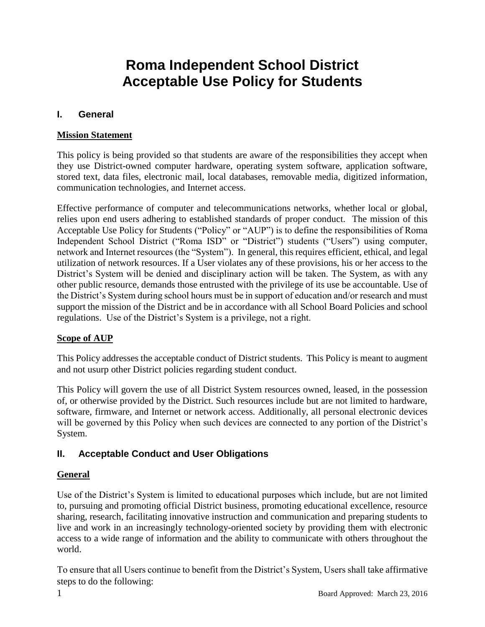# **Roma Independent School District Acceptable Use Policy for Students**

### **I. General**

#### **Mission Statement**

This policy is being provided so that students are aware of the responsibilities they accept when they use District-owned computer hardware, operating system software, application software, stored text, data files, electronic mail, local databases, removable media, digitized information, communication technologies, and Internet access.

Effective performance of computer and telecommunications networks, whether local or global, relies upon end users adhering to established standards of proper conduct. The mission of this Acceptable Use Policy for Students ("Policy" or "AUP") is to define the responsibilities of Roma Independent School District ("Roma ISD" or "District") students ("Users") using computer, network and Internet resources (the "System"). In general, this requires efficient, ethical, and legal utilization of network resources. If a User violates any of these provisions, his or her access to the District's System will be denied and disciplinary action will be taken. The System, as with any other public resource, demands those entrusted with the privilege of its use be accountable. Use of the District's System during school hours must be in support of education and/or research and must support the mission of the District and be in accordance with all School Board Policies and school regulations. Use of the District's System is a privilege, not a right.

#### **Scope of AUP**

This Policy addresses the acceptable conduct of District students. This Policy is meant to augment and not usurp other District policies regarding student conduct.

This Policy will govern the use of all District System resources owned, leased, in the possession of, or otherwise provided by the District. Such resources include but are not limited to hardware, software, firmware, and Internet or network access. Additionally, all personal electronic devices will be governed by this Policy when such devices are connected to any portion of the District's System.

## **II. Acceptable Conduct and User Obligations**

#### **General**

Use of the District's System is limited to educational purposes which include, but are not limited to, pursuing and promoting official District business, promoting educational excellence, resource sharing, research, facilitating innovative instruction and communication and preparing students to live and work in an increasingly technology-oriented society by providing them with electronic access to a wide range of information and the ability to communicate with others throughout the world.

To ensure that all Users continue to benefit from the District's System, Users shall take affirmative steps to do the following: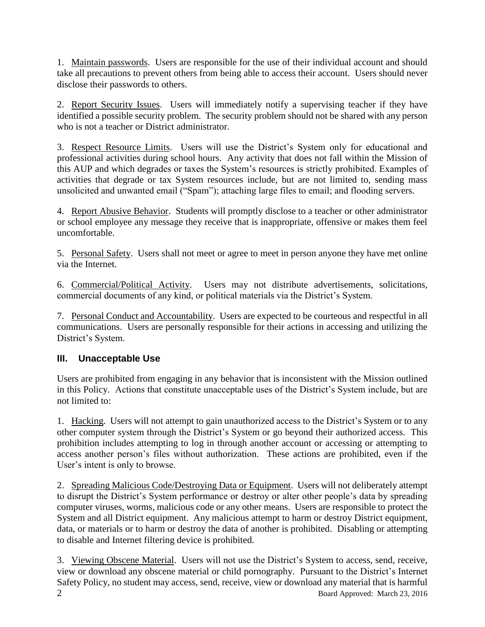1. Maintain passwords. Users are responsible for the use of their individual account and should take all precautions to prevent others from being able to access their account. Users should never disclose their passwords to others.

2. Report Security Issues. Users will immediately notify a supervising teacher if they have identified a possible security problem. The security problem should not be shared with any person who is not a teacher or District administrator.

3. Respect Resource Limits. Users will use the District's System only for educational and professional activities during school hours. Any activity that does not fall within the Mission of this AUP and which degrades or taxes the System's resources is strictly prohibited. Examples of activities that degrade or tax System resources include, but are not limited to, sending mass unsolicited and unwanted email ("Spam"); attaching large files to email; and flooding servers.

4. Report Abusive Behavior. Students will promptly disclose to a teacher or other administrator or school employee any message they receive that is inappropriate, offensive or makes them feel uncomfortable.

5. Personal Safety. Users shall not meet or agree to meet in person anyone they have met online via the Internet.

6. Commercial/Political Activity. Users may not distribute advertisements, solicitations, commercial documents of any kind, or political materials via the District's System.

7. Personal Conduct and Accountability. Users are expected to be courteous and respectful in all communications. Users are personally responsible for their actions in accessing and utilizing the District's System.

## **III. Unacceptable Use**

Users are prohibited from engaging in any behavior that is inconsistent with the Mission outlined in this Policy. Actions that constitute unacceptable uses of the District's System include, but are not limited to:

1. Hacking. Users will not attempt to gain unauthorized access to the District's System or to any other computer system through the District's System or go beyond their authorized access. This prohibition includes attempting to log in through another account or accessing or attempting to access another person's files without authorization. These actions are prohibited, even if the User's intent is only to browse.

2. Spreading Malicious Code/Destroying Data or Equipment. Users will not deliberately attempt to disrupt the District's System performance or destroy or alter other people's data by spreading computer viruses, worms, malicious code or any other means. Users are responsible to protect the System and all District equipment. Any malicious attempt to harm or destroy District equipment, data, or materials or to harm or destroy the data of another is prohibited. Disabling or attempting to disable and Internet filtering device is prohibited.

2 Board Approved: March 23, 2016 3. Viewing Obscene Material. Users will not use the District's System to access, send, receive, view or download any obscene material or child pornography. Pursuant to the District's Internet Safety Policy, no student may access, send, receive, view or download any material that is harmful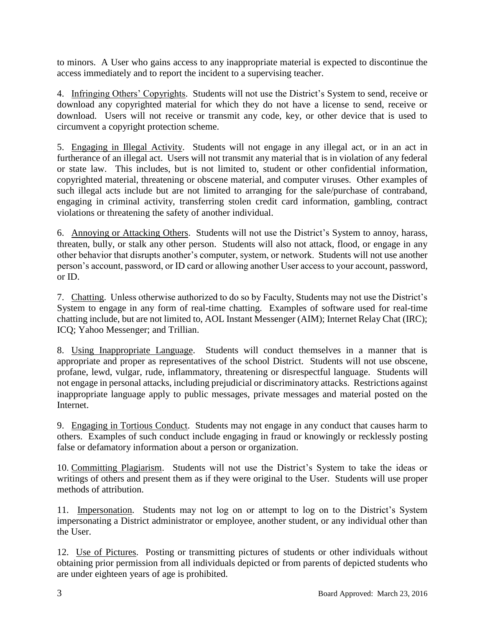to minors. A User who gains access to any inappropriate material is expected to discontinue the access immediately and to report the incident to a supervising teacher.

4. Infringing Others' Copyrights. Students will not use the District's System to send, receive or download any copyrighted material for which they do not have a license to send, receive or download. Users will not receive or transmit any code, key, or other device that is used to circumvent a copyright protection scheme.

5. Engaging in Illegal Activity. Students will not engage in any illegal act, or in an act in furtherance of an illegal act. Users will not transmit any material that is in violation of any federal or state law. This includes, but is not limited to, student or other confidential information, copyrighted material, threatening or obscene material, and computer viruses. Other examples of such illegal acts include but are not limited to arranging for the sale/purchase of contraband, engaging in criminal activity, transferring stolen credit card information, gambling, contract violations or threatening the safety of another individual.

6. Annoying or Attacking Others. Students will not use the District's System to annoy, harass, threaten, bully, or stalk any other person. Students will also not attack, flood, or engage in any other behavior that disrupts another's computer, system, or network. Students will not use another person's account, password, or ID card or allowing another User access to your account, password, or ID.

7. Chatting. Unless otherwise authorized to do so by Faculty, Students may not use the District's System to engage in any form of real-time chatting. Examples of software used for real-time chatting include, but are not limited to, AOL Instant Messenger (AIM); Internet Relay Chat (IRC); ICQ; Yahoo Messenger; and Trillian.

8. Using Inappropriate Language. Students will conduct themselves in a manner that is appropriate and proper as representatives of the school District. Students will not use obscene, profane, lewd, vulgar, rude, inflammatory, threatening or disrespectful language. Students will not engage in personal attacks, including prejudicial or discriminatory attacks. Restrictions against inappropriate language apply to public messages, private messages and material posted on the Internet.

9. Engaging in Tortious Conduct. Students may not engage in any conduct that causes harm to others. Examples of such conduct include engaging in fraud or knowingly or recklessly posting false or defamatory information about a person or organization.

10. Committing Plagiarism. Students will not use the District's System to take the ideas or writings of others and present them as if they were original to the User. Students will use proper methods of attribution.

11. Impersonation. Students may not log on or attempt to log on to the District's System impersonating a District administrator or employee, another student, or any individual other than the User.

12. Use of Pictures. Posting or transmitting pictures of students or other individuals without obtaining prior permission from all individuals depicted or from parents of depicted students who are under eighteen years of age is prohibited.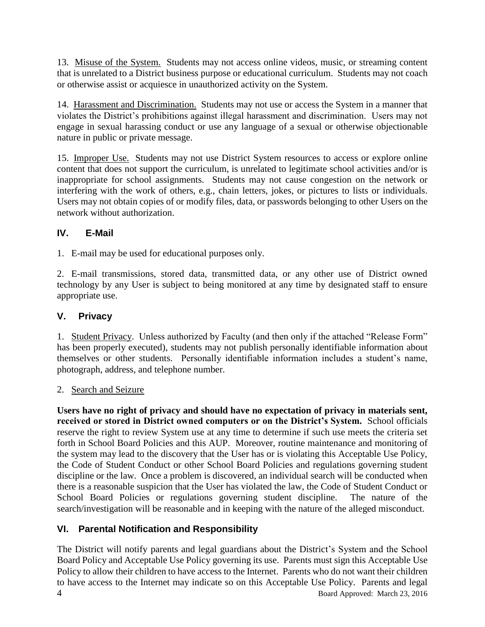13. Misuse of the System. Students may not access online videos, music, or streaming content that is unrelated to a District business purpose or educational curriculum. Students may not coach or otherwise assist or acquiesce in unauthorized activity on the System.

14. Harassment and Discrimination. Students may not use or access the System in a manner that violates the District's prohibitions against illegal harassment and discrimination. Users may not engage in sexual harassing conduct or use any language of a sexual or otherwise objectionable nature in public or private message.

15. Improper Use. Students may not use District System resources to access or explore online content that does not support the curriculum, is unrelated to legitimate school activities and/or is inappropriate for school assignments. Students may not cause congestion on the network or interfering with the work of others, e.g., chain letters, jokes, or pictures to lists or individuals. Users may not obtain copies of or modify files, data, or passwords belonging to other Users on the network without authorization.

## **IV. E-Mail**

1. E-mail may be used for educational purposes only.

2. E-mail transmissions, stored data, transmitted data, or any other use of District owned technology by any User is subject to being monitored at any time by designated staff to ensure appropriate use.

## **V. Privacy**

1. Student Privacy. Unless authorized by Faculty (and then only if the attached "Release Form" has been properly executed), students may not publish personally identifiable information about themselves or other students. Personally identifiable information includes a student's name, photograph, address, and telephone number.

## 2. Search and Seizure

**Users have no right of privacy and should have no expectation of privacy in materials sent, received or stored in District owned computers or on the District's System.** School officials reserve the right to review System use at any time to determine if such use meets the criteria set forth in School Board Policies and this AUP. Moreover, routine maintenance and monitoring of the system may lead to the discovery that the User has or is violating this Acceptable Use Policy, the Code of Student Conduct or other School Board Policies and regulations governing student discipline or the law. Once a problem is discovered, an individual search will be conducted when there is a reasonable suspicion that the User has violated the law, the Code of Student Conduct or School Board Policies or regulations governing student discipline. The nature of the search/investigation will be reasonable and in keeping with the nature of the alleged misconduct.

## **VI. Parental Notification and Responsibility**

4 Board Approved: March 23, 2016 The District will notify parents and legal guardians about the District's System and the School Board Policy and Acceptable Use Policy governing its use. Parents must sign this Acceptable Use Policy to allow their children to have access to the Internet. Parents who do not want their children to have access to the Internet may indicate so on this Acceptable Use Policy. Parents and legal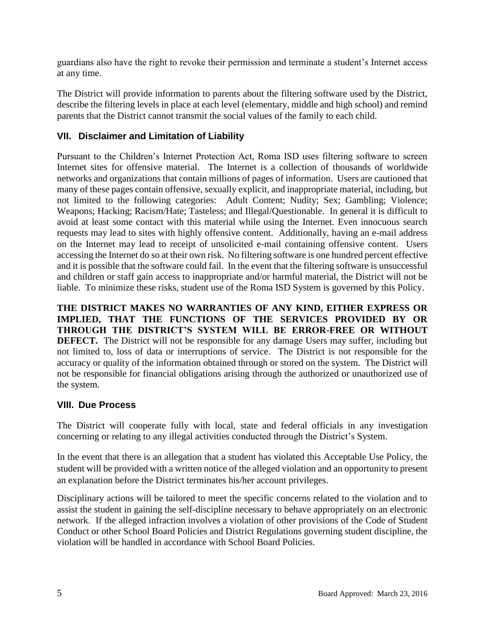guardians also have the right to revoke their permission and terminate a student's Internet access at any time.

The District will provide information to parents about the filtering software used by the District, describe the filtering levels in place at each level (elementary, middle and high school) and remind parents that the District cannot transmit the social values of the family to each child.

## **VII. Disclaimer and Limitation of Liability**

Pursuant to the Children's Internet Protection Act, Roma ISD uses filtering software to screen Internet sites for offensive material. The Internet is a collection of thousands of worldwide networks and organizations that contain millions of pages of information. Users are cautioned that many of these pages contain offensive, sexually explicit, and inappropriate material, including, but not limited to the following categories: Adult Content; Nudity; Sex; Gambling; Violence; Weapons; Hacking; Racism/Hate; Tasteless; and Illegal/Questionable. In general it is difficult to avoid at least some contact with this material while using the Internet. Even innocuous search requests may lead to sites with highly offensive content. Additionally, having an e-mail address on the Internet may lead to receipt of unsolicited e-mail containing offensive content. Users accessing the Internet do so at their own risk. No filtering software is one hundred percent effective and it is possible that the software could fail. In the event that the filtering software is unsuccessful and children or staff gain access to inappropriate and/or harmful material, the District will not be liable. To minimize these risks, student use of the Roma ISD System is governed by this Policy.

**THE DISTRICT MAKES NO WARRANTIES OF ANY KIND, EITHER EXPRESS OR IMPLIED, THAT THE FUNCTIONS OF THE SERVICES PROVIDED BY OR THROUGH THE DISTRICT'S SYSTEM WILL BE ERROR-FREE OR WITHOUT DEFECT.** The District will not be responsible for any damage Users may suffer, including but not limited to, loss of data or interruptions of service. The District is not responsible for the accuracy or quality of the information obtained through or stored on the system. The District will not be responsible for financial obligations arising through the authorized or unauthorized use of the system.

## **VIII. Due Process**

The District will cooperate fully with local, state and federal officials in any investigation concerning or relating to any illegal activities conducted through the District's System.

In the event that there is an allegation that a student has violated this Acceptable Use Policy, the student will be provided with a written notice of the alleged violation and an opportunity to present an explanation before the District terminates his/her account privileges.

Disciplinary actions will be tailored to meet the specific concerns related to the violation and to assist the student in gaining the self-discipline necessary to behave appropriately on an electronic network. If the alleged infraction involves a violation of other provisions of the Code of Student Conduct or other School Board Policies and District Regulations governing student discipline, the violation will be handled in accordance with School Board Policies.